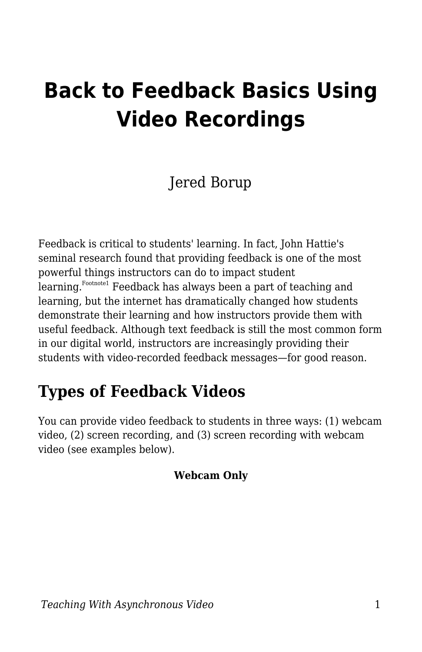# **Back to Feedback Basics Using Video Recordings**

### Jered Borup

Feedback is critical to students' learning. In fact, John Hattie's seminal research found that providing feedback is one of the most powerful things instructors can do to impact student learning. F<sup>ootnote1</sup> Feedback has always been a part of teaching and learning, but the internet has dramatically changed how students demonstrate their learning and how instructors provide them with useful feedback. Although text feedback is still the most common form in our digital world, instructors are increasingly providing their students with video-recorded feedback messages—for good reason.

### **Types of Feedback Videos**

You can provide video feedback to students in three ways: (1) webcam video, (2) screen recording, and (3) screen recording with webcam video (see examples below).

#### **Webcam Only**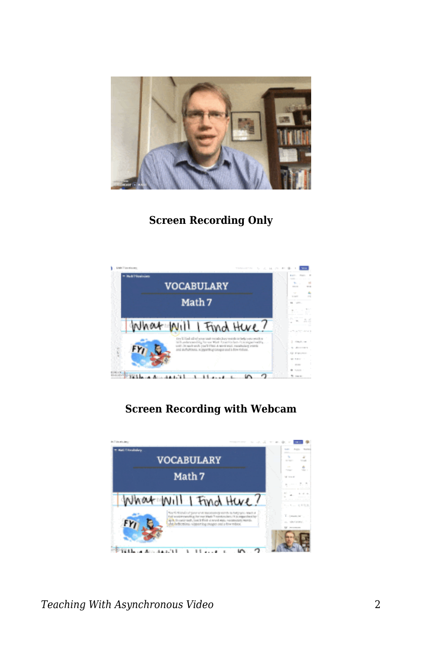

#### **Screen Recording Only**



#### **Screen Recording with Webcam**

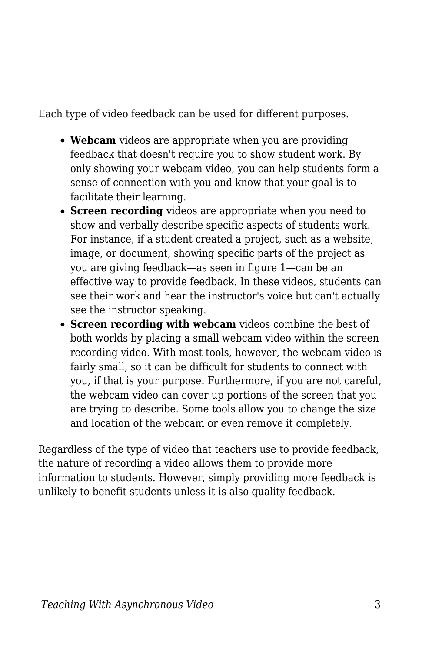Each type of video feedback can be used for different purposes.

- **Webcam** videos are appropriate when you are providing feedback that doesn't require you to show student work. By only showing your webcam video, you can help students form a sense of connection with you and know that your goal is to facilitate their learning.
- **Screen recording** videos are appropriate when you need to show and verbally describe specific aspects of students work. For instance, if a student created a project, such as a website, image, or document, showing specific parts of the project as you are giving feedback—as seen in figure 1—can be an effective way to provide feedback. In these videos, students can see their work and hear the instructor's voice but can't actually see the instructor speaking.
- **Screen recording with webcam** videos combine the best of both worlds by placing a small webcam video within the screen recording video. With most tools, however, the webcam video is fairly small, so it can be difficult for students to connect with you, if that is your purpose. Furthermore, if you are not careful, the webcam video can cover up portions of the screen that you are trying to describe. Some tools allow you to change the size and location of the webcam or even remove it completely.

Regardless of the type of video that teachers use to provide feedback, the nature of recording a video allows them to provide more information to students. However, simply providing more feedback is unlikely to benefit students unless it is also quality feedback.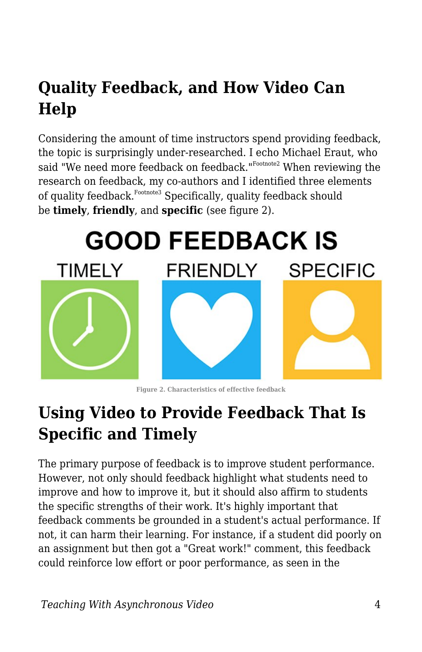# **Quality Feedback, and How Video Can Help**

Considering the amount of time instructors spend providing feedback, the topic is surprisingly under-researched. I echo Michael Eraut, who said "We need more feedback on feedback."  $^{\mathrm{Foothote2}}$  When reviewing the research on feedback, my co-authors and I identified three elements of quality feedback. Footnote3 Specifically, quality feedback should be **timely**, **friendly**, and **specific** (see figure 2).



**Figure 2. Characteristics of effective feedback**

### **Using Video to Provide Feedback That Is Specific and Timely**

The primary purpose of feedback is to improve student performance. However, not only should feedback highlight what students need to improve and how to improve it, but it should also affirm to students the specific strengths of their work. It's highly important that feedback comments be grounded in a student's actual performance. If not, it can harm their learning. For instance, if a student did poorly on an assignment but then got a "Great work!" comment, this feedback could reinforce low effort or poor performance, as seen in the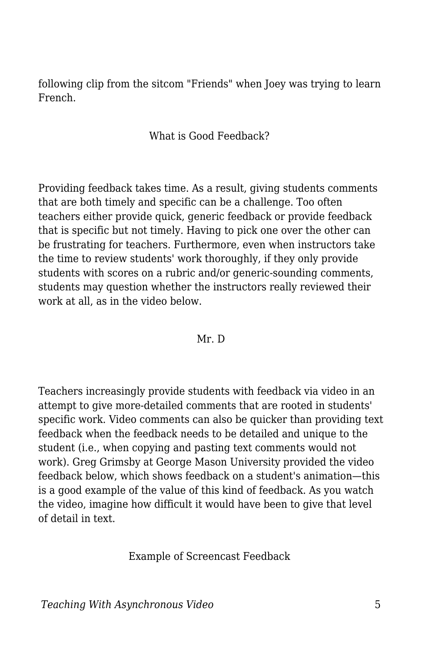following clip from the sitcom "Friends" when Joey was trying to learn French.

What is Good Feedback?

Providing feedback takes time. As a result, giving students comments that are both timely and specific can be a challenge. Too often teachers either provide quick, generic feedback or provide feedback that is specific but not timely. Having to pick one over the other can be frustrating for teachers. Furthermore, even when instructors take the time to review students' work thoroughly, if they only provide students with scores on a rubric and/or generic-sounding comments, students may question whether the instructors really reviewed their work at all, as in the video below.

#### Mr. D

Teachers increasingly provide students with feedback via video in an attempt to give more-detailed comments that are rooted in students' specific work. Video comments can also be quicker than providing text feedback when the feedback needs to be detailed and unique to the student (i.e., when copying and pasting text comments would not work). Greg Grimsby at George Mason University provided the video feedback below, which shows feedback on a student's animation—this is a good example of the value of this kind of feedback. As you watch the video, imagine how difficult it would have been to give that level of detail in text.

Example of Screencast Feedback

*Teaching With Asynchronous Video* 5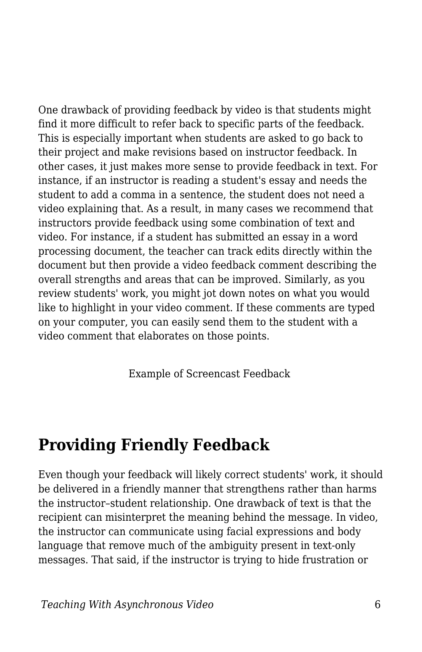One drawback of providing feedback by video is that students might find it more difficult to refer back to specific parts of the feedback. This is especially important when students are asked to go back to their project and make revisions based on instructor feedback. In other cases, it just makes more sense to provide feedback in text. For instance, if an instructor is reading a student's essay and needs the student to add a comma in a sentence, the student does not need a video explaining that. As a result, in many cases we recommend that instructors provide feedback using some combination of text and video. For instance, if a student has submitted an essay in a word processing document, the teacher can track edits directly within the document but then provide a video feedback comment describing the overall strengths and areas that can be improved. Similarly, as you review students' work, you might jot down notes on what you would like to highlight in your video comment. If these comments are typed on your computer, you can easily send them to the student with a video comment that elaborates on those points.

Example of Screencast Feedback

### **Providing Friendly Feedback**

Even though your feedback will likely correct students' work, it should be delivered in a friendly manner that strengthens rather than harms the instructor–student relationship. One drawback of text is that the recipient can misinterpret the meaning behind the message. In video, the instructor can communicate using facial expressions and body language that remove much of the ambiguity present in text-only messages. That said, if the instructor is trying to hide frustration or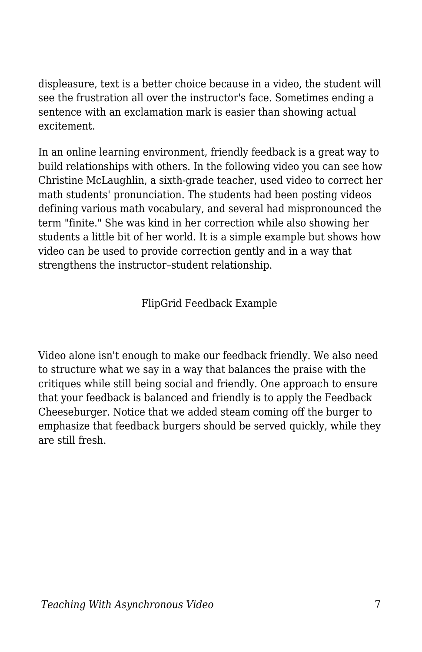displeasure, text is a better choice because in a video, the student will see the frustration all over the instructor's face. Sometimes ending a sentence with an exclamation mark is easier than showing actual excitement.

In an online learning environment, friendly feedback is a great way to build relationships with others. In the following video you can see how Christine McLaughlin, a sixth-grade teacher, used video to correct her math students' pronunciation. The students had been posting videos defining various math vocabulary, and several had mispronounced the term "finite." She was kind in her correction while also showing her students a little bit of her world. It is a simple example but shows how video can be used to provide correction gently and in a way that strengthens the instructor–student relationship.

FlipGrid Feedback Example

Video alone isn't enough to make our feedback friendly. We also need to structure what we say in a way that balances the praise with the critiques while still being social and friendly. One approach to ensure that your feedback is balanced and friendly is to apply the Feedback Cheeseburger. Notice that we added steam coming off the burger to emphasize that feedback burgers should be served quickly, while they are still fresh.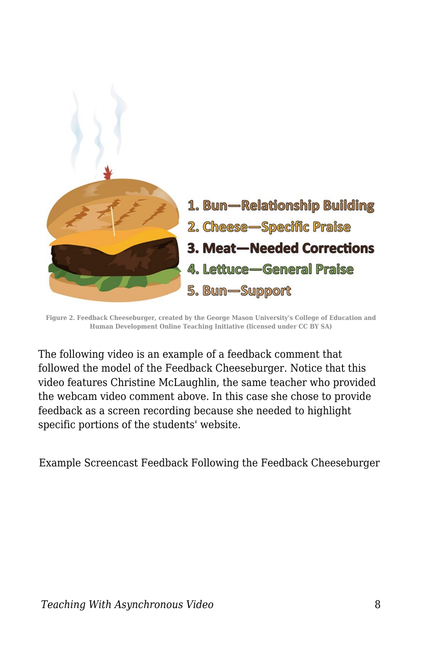

**Figure 2. Feedback Cheeseburger, created by the George Mason University's College of Education and Human Development Online Teaching Initiative (licensed under CC BY SA)**

The following video is an example of a feedback comment that followed the model of the Feedback Cheeseburger. Notice that this video features Christine McLaughlin, the same teacher who provided the webcam video comment above. In this case she chose to provide feedback as a screen recording because she needed to highlight specific portions of the students' website.

Example Screencast Feedback Following the Feedback Cheeseburger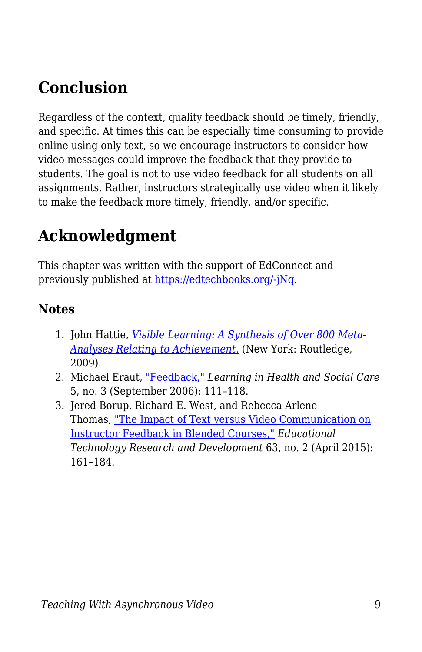## **Conclusion**

Regardless of the context, quality feedback should be timely, friendly, and specific. At times this can be especially time consuming to provide online using only text, so we encourage instructors to consider how video messages could improve the feedback that they provide to students. The goal is not to use video feedback for all students on all assignments. Rather, instructors strategically use video when it likely to make the feedback more timely, friendly, and/or specific.

### **Acknowledgment**

This chapter was written with the support of EdConnect and previously published at [https://edtechbooks.org/-jNq](https://er.educause.edu/blogs/2021/2/back-to-feedback-basics-using-video-recordings).

#### **Notes**

- 1. John Hattie, *[Visible Learning: A Synthesis of Over 800 Meta-](https://www.routledge.com/Visible-Learning-A-Synthesis-of-Over-800-Meta-Analyses-Relating-to-Achievement/Hattie/p/book/9780415476188)[Analyses Relating to Achievement](https://www.routledge.com/Visible-Learning-A-Synthesis-of-Over-800-Meta-Analyses-Relating-to-Achievement/Hattie/p/book/9780415476188)*[,](https://www.routledge.com/Visible-Learning-A-Synthesis-of-Over-800-Meta-Analyses-Relating-to-Achievement/Hattie/p/book/9780415476188) (New York: Routledge, 2009).
- 2. Michael Eraut, ["Feedback,"](https://doi.org/doi:10.1111/j.1473-6861.2006.00129.x) *Learning in Health and Social Care* 5, no. 3 (September 2006): 111–118.
- 3. Jered Borup, Richard E. West, and Rebecca Arlene Thomas, ["The Impact of Text versus Video Communication on](https://www.researchgate.net/publication/273641078_The_impact_of_text_versus_video_communication_on_instructor_feedback_in_blended_courses) [Instructor Feedback in Blended Courses,"](https://www.researchgate.net/publication/273641078_The_impact_of_text_versus_video_communication_on_instructor_feedback_in_blended_courses) *Educational Technology Research and Development* 63, no. 2 (April 2015): 161–184.